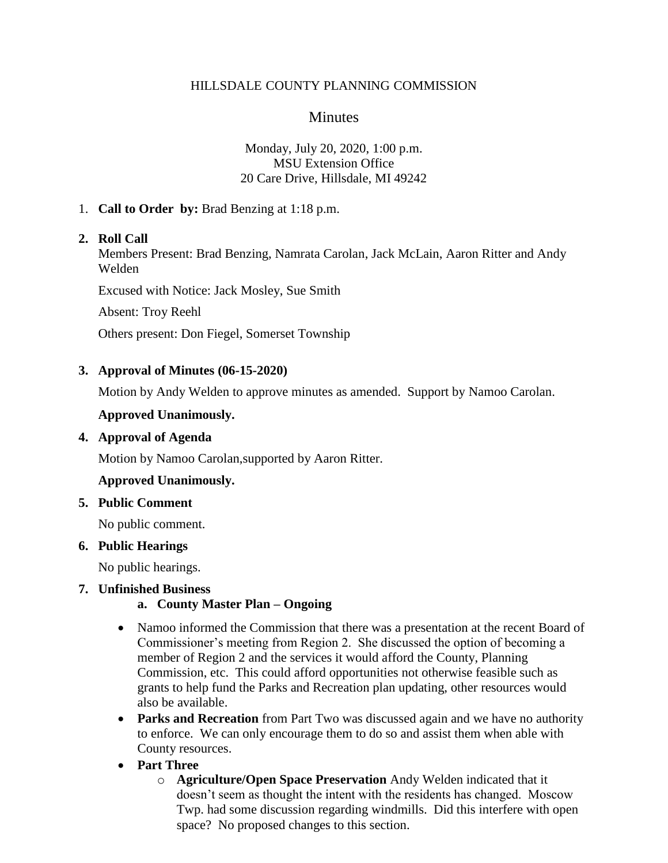## HILLSDALE COUNTY PLANNING COMMISSION

## **Minutes**

## Monday, July 20, 2020, 1:00 p.m. MSU Extension Office 20 Care Drive, Hillsdale, MI 49242

1. **Call to Order by:** Brad Benzing at 1:18 p.m.

### **2. Roll Call**

Members Present: Brad Benzing, Namrata Carolan, Jack McLain, Aaron Ritter and Andy Welden

Excused with Notice: Jack Mosley, Sue Smith

Absent: Troy Reehl

Others present: Don Fiegel, Somerset Township

### **3. Approval of Minutes (06-15-2020)**

Motion by Andy Welden to approve minutes as amended. Support by Namoo Carolan.

### **Approved Unanimously.**

#### **4. Approval of Agenda**

Motion by Namoo Carolan,supported by Aaron Ritter.

## **Approved Unanimously.**

#### **5. Public Comment**

No public comment.

#### **6. Public Hearings**

No public hearings.

#### **7. Unfinished Business**

## **a. County Master Plan – Ongoing**

- Namoo informed the Commission that there was a presentation at the recent Board of Commissioner's meeting from Region 2. She discussed the option of becoming a member of Region 2 and the services it would afford the County, Planning Commission, etc. This could afford opportunities not otherwise feasible such as grants to help fund the Parks and Recreation plan updating, other resources would also be available.
- **Parks and Recreation** from Part Two was discussed again and we have no authority to enforce. We can only encourage them to do so and assist them when able with County resources.

## **Part Three**

o **Agriculture/Open Space Preservation** Andy Welden indicated that it doesn't seem as thought the intent with the residents has changed. Moscow Twp. had some discussion regarding windmills. Did this interfere with open space? No proposed changes to this section.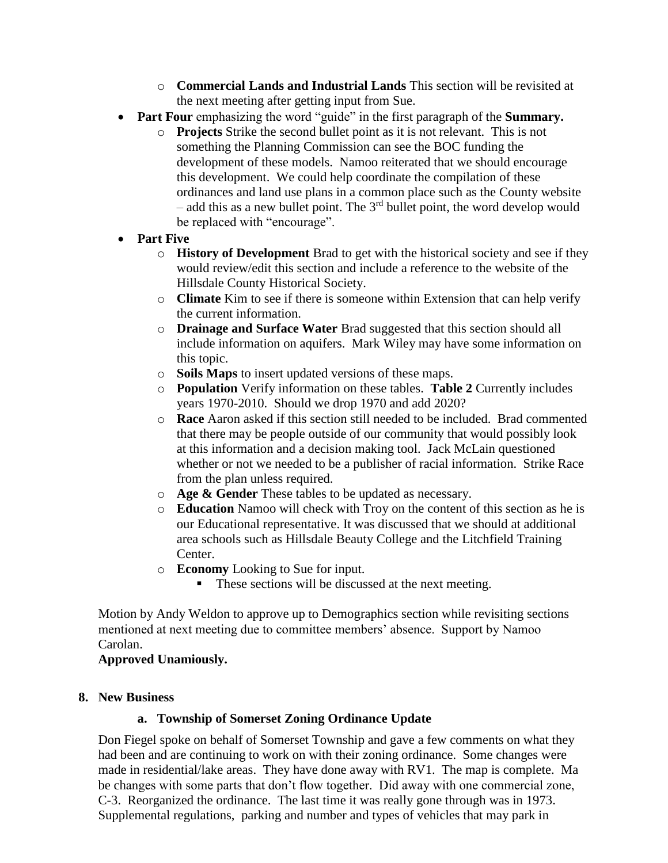- o **Commercial Lands and Industrial Lands** This section will be revisited at the next meeting after getting input from Sue.
- **Part Four** emphasizing the word "guide" in the first paragraph of the **Summary.**
	- o **Projects** Strike the second bullet point as it is not relevant. This is not something the Planning Commission can see the BOC funding the development of these models. Namoo reiterated that we should encourage this development. We could help coordinate the compilation of these ordinances and land use plans in a common place such as the County website – add this as a new bullet point. The  $3<sup>rd</sup>$  bullet point, the word develop would be replaced with "encourage".
- **Part Five**
	- o **History of Development** Brad to get with the historical society and see if they would review/edit this section and include a reference to the website of the Hillsdale County Historical Society.
	- o **Climate** Kim to see if there is someone within Extension that can help verify the current information.
	- o **Drainage and Surface Water** Brad suggested that this section should all include information on aquifers. Mark Wiley may have some information on this topic.
	- o **Soils Maps** to insert updated versions of these maps.
	- o **Population** Verify information on these tables. **Table 2** Currently includes years 1970-2010. Should we drop 1970 and add 2020?
	- o **Race** Aaron asked if this section still needed to be included. Brad commented that there may be people outside of our community that would possibly look at this information and a decision making tool. Jack McLain questioned whether or not we needed to be a publisher of racial information. Strike Race from the plan unless required.
	- o **Age & Gender** These tables to be updated as necessary.
	- o **Education** Namoo will check with Troy on the content of this section as he is our Educational representative. It was discussed that we should at additional area schools such as Hillsdale Beauty College and the Litchfield Training Center.
	- o **Economy** Looking to Sue for input.
		- These sections will be discussed at the next meeting.

Motion by Andy Weldon to approve up to Demographics section while revisiting sections mentioned at next meeting due to committee members' absence. Support by Namoo Carolan.

# **Approved Unamiously.**

## **8. New Business**

# **a. Township of Somerset Zoning Ordinance Update**

Don Fiegel spoke on behalf of Somerset Township and gave a few comments on what they had been and are continuing to work on with their zoning ordinance. Some changes were made in residential/lake areas. They have done away with RV1. The map is complete. Ma be changes with some parts that don't flow together. Did away with one commercial zone, C-3. Reorganized the ordinance. The last time it was really gone through was in 1973. Supplemental regulations, parking and number and types of vehicles that may park in